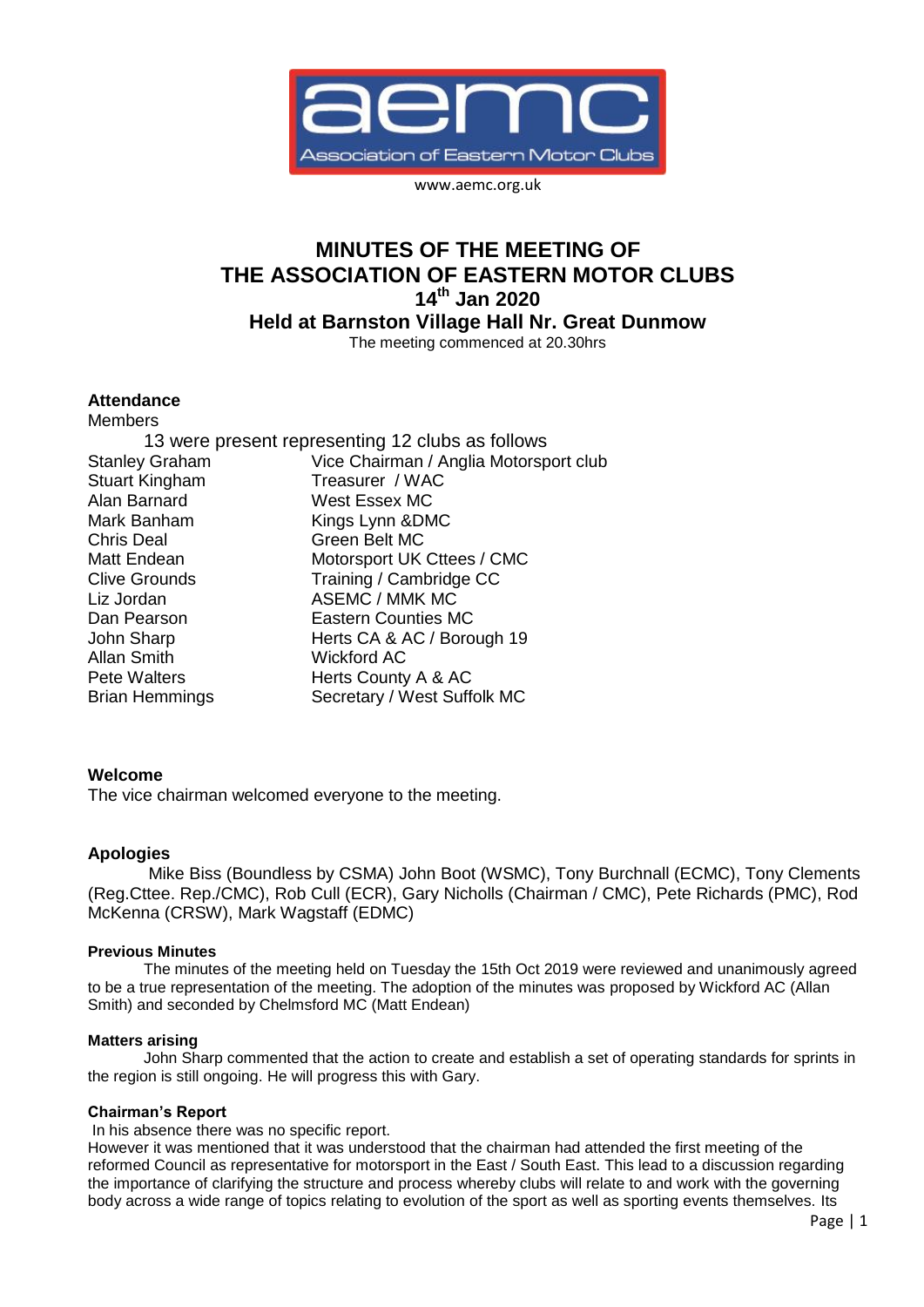

www.aemc.org.uk

# **MINUTES OF THE MEETING OF THE ASSOCIATION OF EASTERN MOTOR CLUBS 14th Jan 2020 Held at Barnston Village Hall Nr. Great Dunmow**

The meeting commenced at 20.30hrs

#### **Attendance** M<sub>omboro</sub>

| MCHINGIS                                         |                                        |
|--------------------------------------------------|----------------------------------------|
| 13 were present representing 12 clubs as follows |                                        |
| <b>Stanley Graham</b>                            | Vice Chairman / Anglia Motorsport club |
| Stuart Kingham                                   | Treasurer / WAC                        |
| Alan Barnard                                     | West Essex MC                          |
| Mark Banham                                      | Kings Lynn & DMC                       |
| Chris Deal                                       | Green Belt MC                          |
| Matt Endean                                      | Motorsport UK Cttees / CMC             |
| Clive Grounds                                    | Training / Cambridge CC                |
| Liz Jordan                                       | ASEMC / MMK MC                         |
| Dan Pearson                                      | <b>Eastern Counties MC</b>             |
| John Sharp                                       | Herts CA & AC / Borough 19             |
| Allan Smith                                      | <b>Wickford AC</b>                     |
| <b>Pete Walters</b>                              | Herts County A & AC                    |
| Brian Hemmings                                   | Secretary / West Suffolk MC            |

### **Welcome**

The vice chairman welcomed everyone to the meeting.

### **Apologies**

Mike Biss (Boundless by CSMA) John Boot (WSMC), Tony Burchnall (ECMC), Tony Clements (Reg.Cttee. Rep./CMC), Rob Cull (ECR), Gary Nicholls (Chairman / CMC), Pete Richards (PMC), Rod McKenna (CRSW), Mark Wagstaff (EDMC)

### **Previous Minutes**

The minutes of the meeting held on Tuesday the 15th Oct 2019 were reviewed and unanimously agreed to be a true representation of the meeting. The adoption of the minutes was proposed by Wickford AC (Allan Smith) and seconded by Chelmsford MC (Matt Endean)

### **Matters arising**

John Sharp commented that the action to create and establish a set of operating standards for sprints in the region is still ongoing. He will progress this with Gary.

## **Chairman's Report**

In his absence there was no specific report.

However it was mentioned that it was understood that the chairman had attended the first meeting of the reformed Council as representative for motorsport in the East / South East. This lead to a discussion regarding the importance of clarifying the structure and process whereby clubs will relate to and work with the governing body across a wide range of topics relating to evolution of the sport as well as sporting events themselves. Its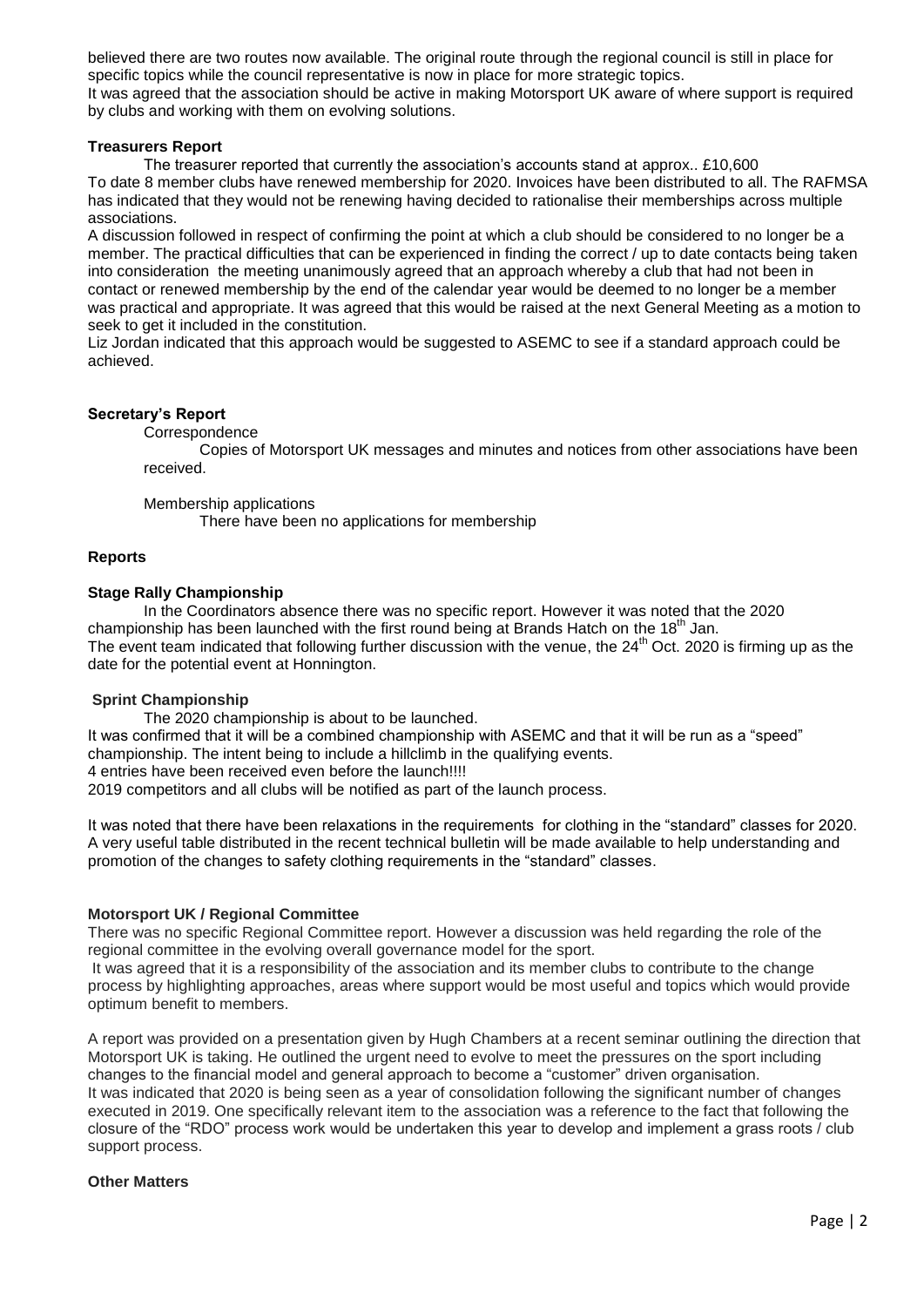believed there are two routes now available. The original route through the regional council is still in place for specific topics while the council representative is now in place for more strategic topics. It was agreed that the association should be active in making Motorsport UK aware of where support is required by clubs and working with them on evolving solutions.

### **Treasurers Report**

The treasurer reported that currently the association's accounts stand at approx.. £10,600 To date 8 member clubs have renewed membership for 2020. Invoices have been distributed to all. The RAFMSA has indicated that they would not be renewing having decided to rationalise their memberships across multiple associations.

A discussion followed in respect of confirming the point at which a club should be considered to no longer be a member. The practical difficulties that can be experienced in finding the correct / up to date contacts being taken into consideration the meeting unanimously agreed that an approach whereby a club that had not been in contact or renewed membership by the end of the calendar year would be deemed to no longer be a member was practical and appropriate. It was agreed that this would be raised at the next General Meeting as a motion to seek to get it included in the constitution.

Liz Jordan indicated that this approach would be suggested to ASEMC to see if a standard approach could be achieved.

### **Secretary's Report**

**Correspondence** 

Copies of Motorsport UK messages and minutes and notices from other associations have been received.

Membership applications

There have been no applications for membership

### **Reports**

### **Stage Rally Championship**

In the Coordinators absence there was no specific report. However it was noted that the 2020 championship has been launched with the first round being at Brands Hatch on the 18<sup>th</sup> Jan. The event team indicated that following further discussion with the venue, the  $24<sup>th</sup>$  Oct. 2020 is firming up as the date for the potential event at Honnington.

#### **Sprint Championship**

The 2020 championship is about to be launched. It was confirmed that it will be a combined championship with ASEMC and that it will be run as a "speed" championship. The intent being to include a hillclimb in the qualifying events.

4 entries have been received even before the launch!!!!

2019 competitors and all clubs will be notified as part of the launch process.

It was noted that there have been relaxations in the requirements for clothing in the "standard" classes for 2020. A very useful table distributed in the recent technical bulletin will be made available to help understanding and promotion of the changes to safety clothing requirements in the "standard" classes.

#### **Motorsport UK / Regional Committee**

There was no specific Regional Committee report. However a discussion was held regarding the role of the regional committee in the evolving overall governance model for the sport.

It was agreed that it is a responsibility of the association and its member clubs to contribute to the change process by highlighting approaches, areas where support would be most useful and topics which would provide optimum benefit to members.

A report was provided on a presentation given by Hugh Chambers at a recent seminar outlining the direction that Motorsport UK is taking. He outlined the urgent need to evolve to meet the pressures on the sport including changes to the financial model and general approach to become a "customer" driven organisation. It was indicated that 2020 is being seen as a year of consolidation following the significant number of changes executed in 2019. One specifically relevant item to the association was a reference to the fact that following the closure of the "RDO" process work would be undertaken this year to develop and implement a grass roots / club support process.

### **Other Matters**